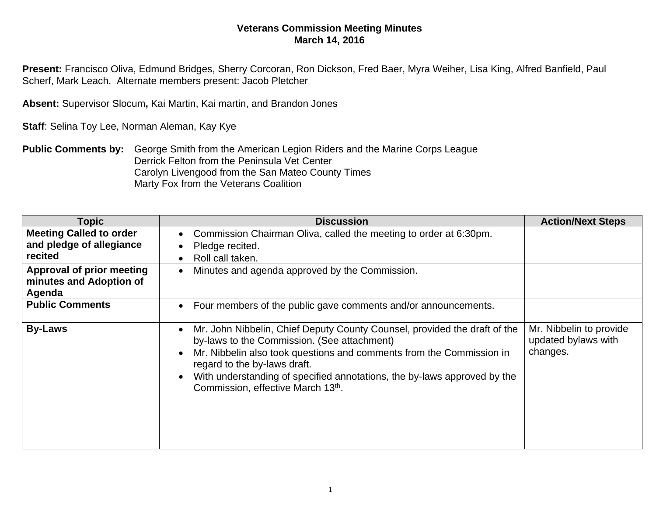## **Veterans Commission Meeting Minutes March 14, 2016**

**Present:** Francisco Oliva, Edmund Bridges, Sherry Corcoran, Ron Dickson, Fred Baer, Myra Weiher, Lisa King, Alfred Banfield, Paul Scherf, Mark Leach. Alternate members present: Jacob Pletcher

**Absent:** Supervisor Slocum**,** Kai Martin, Kai martin, and Brandon Jones

**Staff**: Selina Toy Lee, Norman Aleman, Kay Kye

**Public Comments by:** George Smith from the American Legion Riders and the Marine Corps League Derrick Felton from the Peninsula Vet Center Carolyn Livengood from the San Mateo County Times Marty Fox from the Veterans Coalition

| <b>Topic</b>                                                          | <b>Discussion</b>                                                                                                                                                                                                                                                                                                                                 | <b>Action/Next Steps</b>                                   |
|-----------------------------------------------------------------------|---------------------------------------------------------------------------------------------------------------------------------------------------------------------------------------------------------------------------------------------------------------------------------------------------------------------------------------------------|------------------------------------------------------------|
| <b>Meeting Called to order</b><br>and pledge of allegiance<br>recited | Commission Chairman Oliva, called the meeting to order at 6:30pm.<br>Pledge recited.<br>Roll call taken.                                                                                                                                                                                                                                          |                                                            |
| <b>Approval of prior meeting</b><br>minutes and Adoption of<br>Agenda | Minutes and agenda approved by the Commission.<br>$\bullet$                                                                                                                                                                                                                                                                                       |                                                            |
| <b>Public Comments</b>                                                | Four members of the public gave comments and/or announcements.                                                                                                                                                                                                                                                                                    |                                                            |
| <b>By-Laws</b>                                                        | Mr. John Nibbelin, Chief Deputy County Counsel, provided the draft of the<br>by-laws to the Commission. (See attachment)<br>Mr. Nibbelin also took questions and comments from the Commission in<br>regard to the by-laws draft.<br>With understanding of specified annotations, the by-laws approved by the<br>Commission, effective March 13th. | Mr. Nibbelin to provide<br>updated bylaws with<br>changes. |